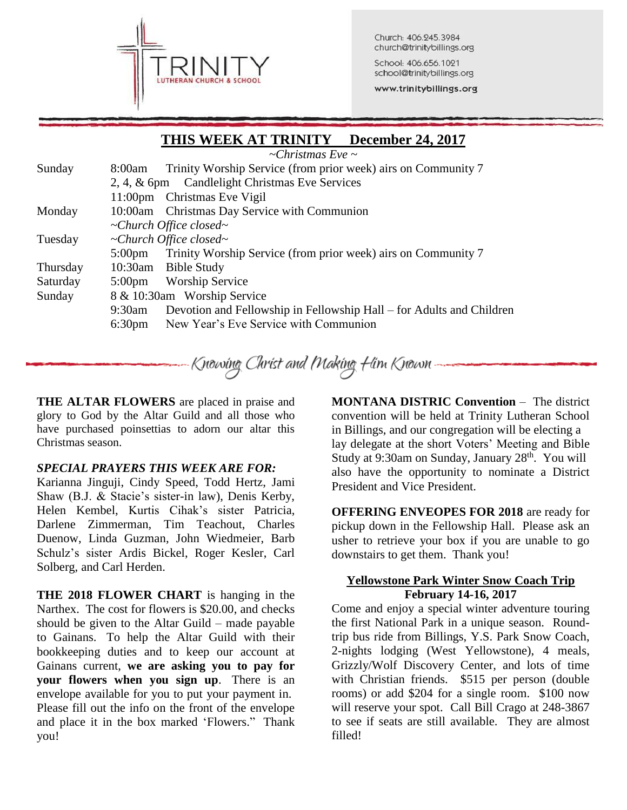

Church: 406.245.3984 church@trinitybillings.org

School: 406.656.1021 school@trinitybillings.org

www.trinitybillings.org

# **THIS WEEK AT TRINITY December 24, 2017**

*~Christmas Eve ~*

| Sunday   | 8:00am                                         | Trinity Worship Service (from prior week) airs on Community 7        |  |  |
|----------|------------------------------------------------|----------------------------------------------------------------------|--|--|
|          | 2, 4, & 6pm Candlelight Christmas Eve Services |                                                                      |  |  |
|          | 11:00 <sub>pm</sub>                            | Christmas Eve Vigil                                                  |  |  |
| Monday   |                                                | 10:00am Christmas Day Service with Communion                         |  |  |
|          | $\sim$ Church Office closed $\sim$             |                                                                      |  |  |
| Tuesday  | $\sim$ Church Office closed $\sim$             |                                                                      |  |  |
|          | $5:00 \text{pm}$                               | Trinity Worship Service (from prior week) airs on Community 7        |  |  |
| Thursday |                                                | 10:30am Bible Study                                                  |  |  |
| Saturday | $5:00 \text{pm}$                               | <b>Worship Service</b>                                               |  |  |
| Sunday   | 8 & 10:30am Worship Service                    |                                                                      |  |  |
|          | 9:30am                                         | Devotion and Fellowship in Fellowship Hall – for Adults and Children |  |  |
|          | 6:30 <sub>pm</sub>                             | New Year's Eve Service with Communion                                |  |  |
|          |                                                |                                                                      |  |  |

Knowing Christ and Making Him Known

**THE ALTAR FLOWERS** are placed in praise and glory to God by the Altar Guild and all those who have purchased poinsettias to adorn our altar this Christmas season.

#### *SPECIAL PRAYERS THIS WEEK ARE FOR:*

Karianna Jinguji, Cindy Speed, Todd Hertz, Jami Shaw (B.J. & Stacie's sister-in law), Denis Kerby, Helen Kembel, Kurtis Cihak's sister Patricia, Darlene Zimmerman, Tim Teachout, Charles Duenow, Linda Guzman, John Wiedmeier, Barb Schulz's sister Ardis Bickel, Roger Kesler, Carl Solberg, and Carl Herden.

**THE 2018 FLOWER CHART** is hanging in the Narthex. The cost for flowers is \$20.00, and checks should be given to the Altar Guild – made payable to Gainans. To help the Altar Guild with their bookkeeping duties and to keep our account at Gainans current, **we are asking you to pay for your flowers when you sign up**. There is an envelope available for you to put your payment in. Please fill out the info on the front of the envelope and place it in the box marked 'Flowers." Thank you!

**MONTANA DISTRIC Convention** – The district convention will be held at Trinity Lutheran School in Billings, and our congregation will be electing a lay delegate at the short Voters' Meeting and Bible Study at 9:30am on Sunday, January 28<sup>th</sup>. You will also have the opportunity to nominate a District President and Vice President.

**OFFERING ENVEOPES FOR 2018** are ready for pickup down in the Fellowship Hall. Please ask an usher to retrieve your box if you are unable to go downstairs to get them. Thank you!

#### **Yellowstone Park Winter Snow Coach Trip February 14-16, 2017**

Come and enjoy a special winter adventure touring the first National Park in a unique season. Roundtrip bus ride from Billings, Y.S. Park Snow Coach, 2-nights lodging (West Yellowstone), 4 meals, Grizzly/Wolf Discovery Center, and lots of time with Christian friends. \$515 per person (double rooms) or add \$204 for a single room. \$100 now will reserve your spot. Call Bill Crago at 248-3867 to see if seats are still available. They are almost filled!